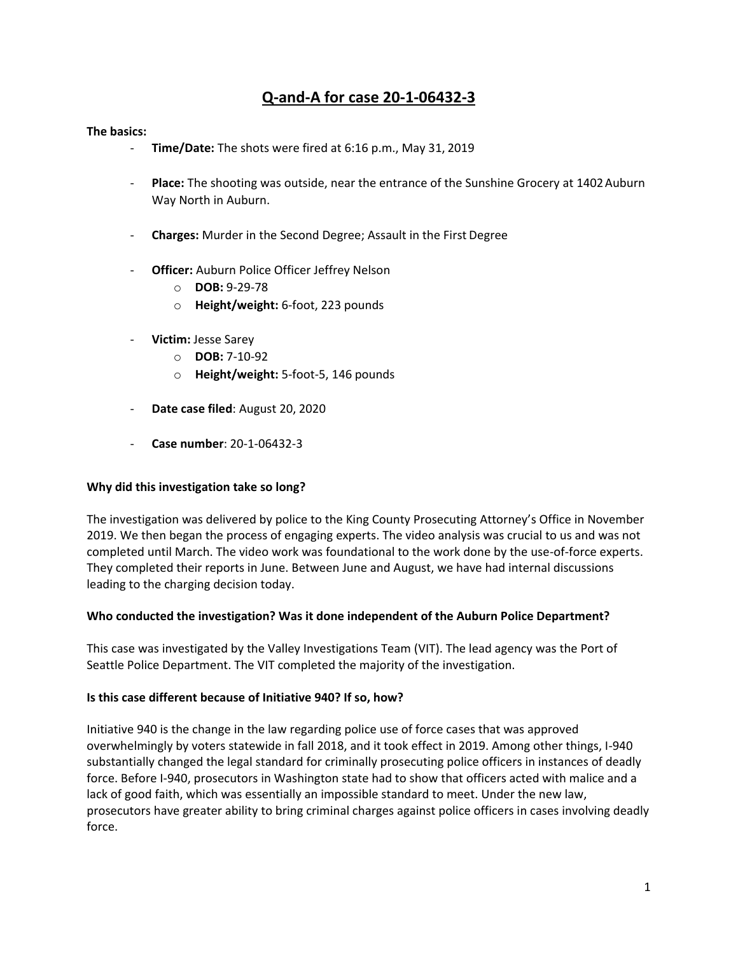# **Q-and-A for case 20-1-06432-3**

#### **The basics:**

- **Time/Date:** The shots were fired at 6:16 p.m., May 31, 2019
- **Place:** The shooting was outside, near the entrance of the Sunshine Grocery at 1402 Auburn Way North in Auburn.
- **Charges:** Murder in the Second Degree; Assault in the First Degree
- Officer: Auburn Police Officer Jeffrey Nelson
	- o **DOB:** 9-29-78
	- o **Height/weight:** 6-foot, 223 pounds
- **Victim:** Jesse Sarey
	- o **DOB:** 7-10-92
	- o **Height/weight:** 5-foot-5, 146 pounds
- **Date case filed**: August 20, 2020
- **Case number**: 20-1-06432-3

#### **Why did this investigation take so long?**

The investigation was delivered by police to the King County Prosecuting Attorney's Office in November 2019. We then began the process of engaging experts. The video analysis was crucial to us and was not completed until March. The video work was foundational to the work done by the use-of-force experts. They completed their reports in June. Between June and August, we have had internal discussions leading to the charging decision today.

#### **Who conducted the investigation? Was it done independent of the Auburn Police Department?**

This case was investigated by the Valley Investigations Team (VIT). The lead agency was the Port of Seattle Police Department. The VIT completed the majority of the investigation.

#### **Is this case different because of Initiative 940? If so, how?**

Initiative 940 is the change in the law regarding police use of force cases that was approved overwhelmingly by voters statewide in fall 2018, and it took effect in 2019. Among other things, I-940 substantially changed the legal standard for criminally prosecuting police officers in instances of deadly force. Before I-940, prosecutors in Washington state had to show that officers acted with malice and a lack of good faith, which was essentially an impossible standard to meet. Under the new law, prosecutors have greater ability to bring criminal charges against police officers in cases involving deadly force.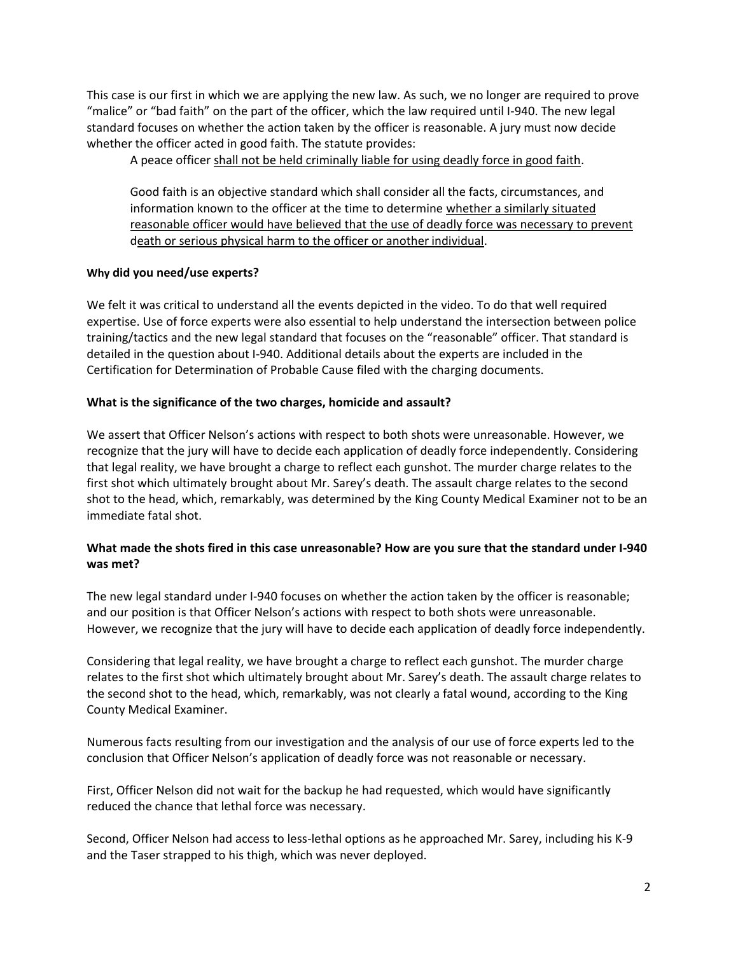This case is our first in which we are applying the new law. As such, we no longer are required to prove "malice" or "bad faith" on the part of the officer, which the law required until I-940. The new legal standard focuses on whether the action taken by the officer is reasonable. A jury must now decide whether the officer acted in good faith. The statute provides:

A peace officer shall not be held criminally liable for using deadly force in good faith.

Good faith is an objective standard which shall consider all the facts, circumstances, and information known to the officer at the time to determine whether a similarly situated reasonable officer would have believed that the use of deadly force was necessary to prevent death or serious physical harm to the officer or another individual.

# **Why did you need/use experts?**

We felt it was critical to understand all the events depicted in the video. To do that well required expertise. Use of force experts were also essential to help understand the intersection between police training/tactics and the new legal standard that focuses on the "reasonable" officer. That standard is detailed in the question about I-940. Additional details about the experts are included in the Certification for Determination of Probable Cause filed with the charging documents.

# **What is the significance of the two charges, homicide and assault?**

We assert that Officer Nelson's actions with respect to both shots were unreasonable. However, we recognize that the jury will have to decide each application of deadly force independently. Considering that legal reality, we have brought a charge to reflect each gunshot. The murder charge relates to the first shot which ultimately brought about Mr. Sarey's death. The assault charge relates to the second shot to the head, which, remarkably, was determined by the King County Medical Examiner not to be an immediate fatal shot.

# **What made the shots fired in this case unreasonable? How are you sure that the standard under I-940 was met?**

The new legal standard under I-940 focuses on whether the action taken by the officer is reasonable; and our position is that Officer Nelson's actions with respect to both shots were unreasonable. However, we recognize that the jury will have to decide each application of deadly force independently.

Considering that legal reality, we have brought a charge to reflect each gunshot. The murder charge relates to the first shot which ultimately brought about Mr. Sarey's death. The assault charge relates to the second shot to the head, which, remarkably, was not clearly a fatal wound, according to the King County Medical Examiner.

Numerous facts resulting from our investigation and the analysis of our use of force experts led to the conclusion that Officer Nelson's application of deadly force was not reasonable or necessary.

First, Officer Nelson did not wait for the backup he had requested, which would have significantly reduced the chance that lethal force was necessary.

Second, Officer Nelson had access to less-lethal options as he approached Mr. Sarey, including his K-9 and the Taser strapped to his thigh, which was never deployed.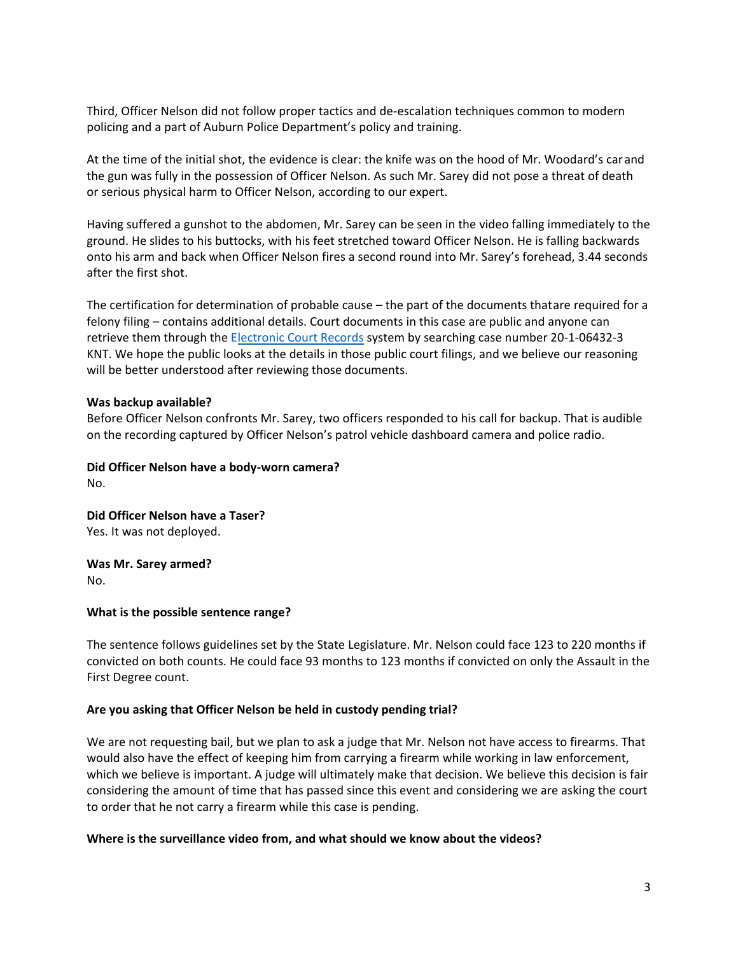Third, Officer Nelson did not follow proper tactics and de-escalation techniques common to modern policing and a part of Auburn Police Department's policy and training.

At the time of the initial shot, the evidence is clear: the knife was on the hood of Mr. Woodard's carand the gun was fully in the possession of Officer Nelson. As such Mr. Sarey did not pose a threat of death or serious physical harm to Officer Nelson, according to our expert.

Having suffered a gunshot to the abdomen, Mr. Sarey can be seen in the video falling immediately to the ground. He slides to his buttocks, with his feet stretched toward Officer Nelson. He is falling backwards onto his arm and back when Officer Nelson fires a second round into Mr. Sarey's forehead, 3.44 seconds after the first shot.

The certification for determination of probable cause – the part of the documents thatare required for a felony filing – contains additional details. Court documents in this case are public and anyone can retrieve them through the Electronic Court Records system by searching case number 20-1-06432-3 KNT. We hope the public looks at the details in those public court filings, and we believe our reasoning will be better understood after reviewing those documents.

#### **Was backup available?**

Before Officer Nelson confronts Mr. Sarey, two officers responded to his call for backup. That is audible on the recording captured by Officer Nelson's patrol vehicle dashboard camera and police radio.

**Did Officer Nelson have a body-worn camera?** No.

**Did Officer Nelson have a Taser?** Yes. It was not deployed.

**Was Mr. Sarey armed?** No.

#### **What is the possible sentence range?**

The sentence follows guidelines set by the State Legislature. Mr. Nelson could face 123 to 220 months if convicted on both counts. He could face 93 months to 123 months if convicted on only the Assault in the First Degree count.

#### **Are you asking that Officer Nelson be held in custody pending trial?**

We are not requesting bail, but we plan to ask a judge that Mr. Nelson not have access to firearms. That would also have the effect of keeping him from carrying a firearm while working in law enforcement, which we believe is important. A judge will ultimately make that decision. We believe this decision is fair considering the amount of time that has passed since this event and considering we are asking the court to order that he not carry a firearm while this case is pending.

#### **Where is the surveillance video from, and what should we know about the videos?**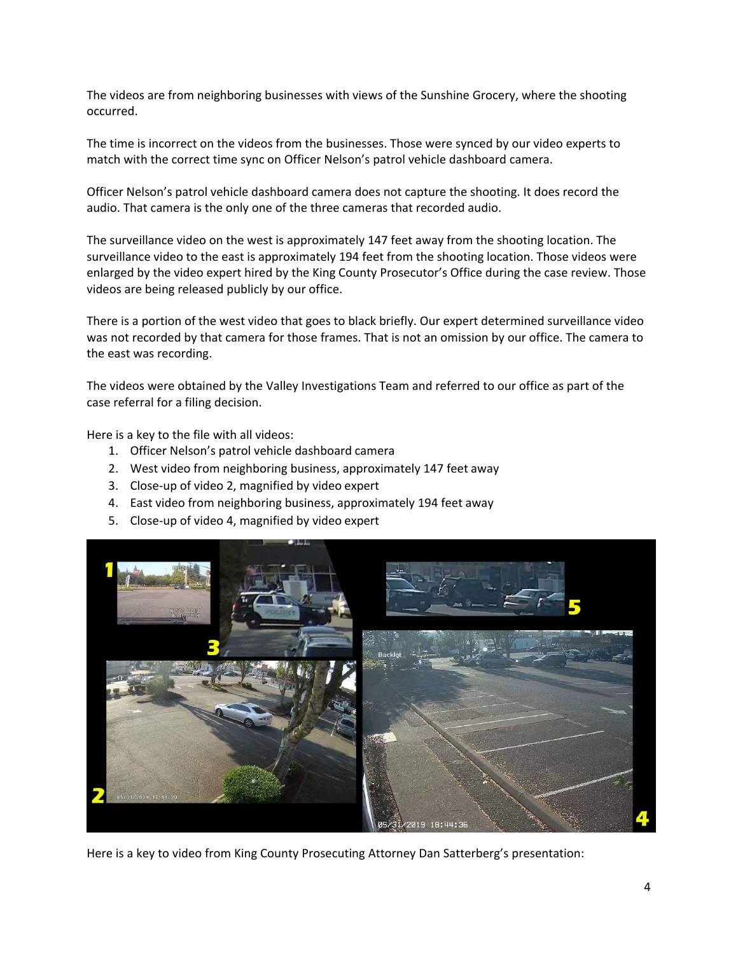The videos are from neighboring businesses with views of the Sunshine Grocery, where the shooting occurred.

The time is incorrect on the videos from the businesses. Those were synced by our video experts to match with the correct time sync on Officer Nelson's patrol vehicle dashboard camera.

Officer Nelson's patrol vehicle dashboard camera does not capture the shooting. It does record the audio. That camera is the only one of the three cameras that recorded audio.

The surveillance video on the west is approximately 147 feet away from the shooting location. The surveillance video to the east is approximately 194 feet from the shooting location. Those videos were enlarged by the video expert hired by the King County Prosecutor's Office during the case review. Those videos are being released publicly by our office.

There is a portion of the west video that goes to black briefly. Our expert determined surveillance video was not recorded by that camera for those frames. That is not an omission by our office. The camera to the east was recording.

The videos were obtained by the Valley Investigations Team and referred to our office as part of the case referral for a filing decision.

Here is a key to the file with all videos:

- 1. Officer Nelson's patrol vehicle dashboard camera
- 2. West video from neighboring business, approximately 147 feet away
- 3. Close-up of video 2, magnified by video expert
- 4. East video from neighboring business, approximately 194 feet away
- 5. Close-up of video 4, magnified by video expert



Here is a key to video from King County Prosecuting Attorney Dan Satterberg's presentation: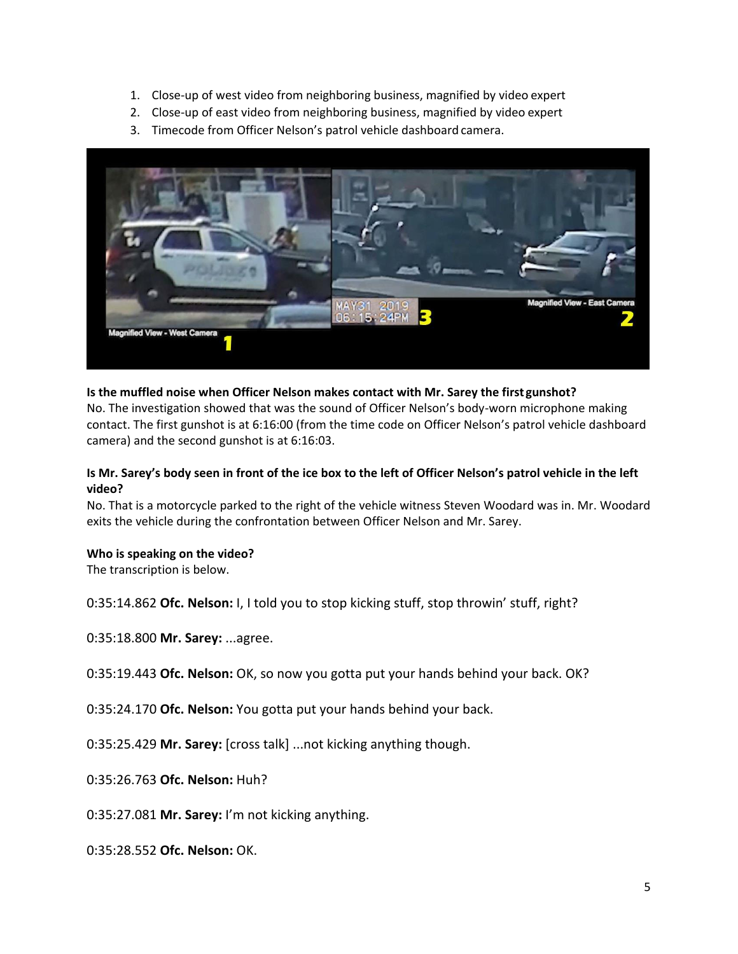- 1. Close-up of west video from neighboring business, magnified by video expert
- 2. Close-up of east video from neighboring business, magnified by video expert
- 3. Timecode from Officer Nelson's patrol vehicle dashboard camera.



# **Is the muffled noise when Officer Nelson makes contact with Mr. Sarey the first gunshot?**

No. The investigation showed that was the sound of Officer Nelson's body-worn microphone making contact. The first gunshot is at 6:16:00 (from the time code on Officer Nelson's patrol vehicle dashboard camera) and the second gunshot is at 6:16:03.

# **Is Mr. Sarey's body seen in front of the ice box to the left of Officer Nelson's patrol vehicle in the left video?**

No. That is a motorcycle parked to the right of the vehicle witness Steven Woodard was in. Mr. Woodard exits the vehicle during the confrontation between Officer Nelson and Mr. Sarey.

## **Who is speaking on the video?**

The transcription is below.

0:35:14.862 **Ofc. Nelson:** I, I told you to stop kicking stuff, stop throwin' stuff, right?

0:35:18.800 **Mr. Sarey:** ...agree.

0:35:19.443 **Ofc. Nelson:** OK, so now you gotta put your hands behind your back. OK?

0:35:24.170 **Ofc. Nelson:** You gotta put your hands behind your back.

0:35:25.429 **Mr. Sarey:** [cross talk] ...not kicking anything though.

0:35:26.763 **Ofc. Nelson:** Huh?

0:35:27.081 **Mr. Sarey:** I'm not kicking anything.

0:35:28.552 **Ofc. Nelson:** OK.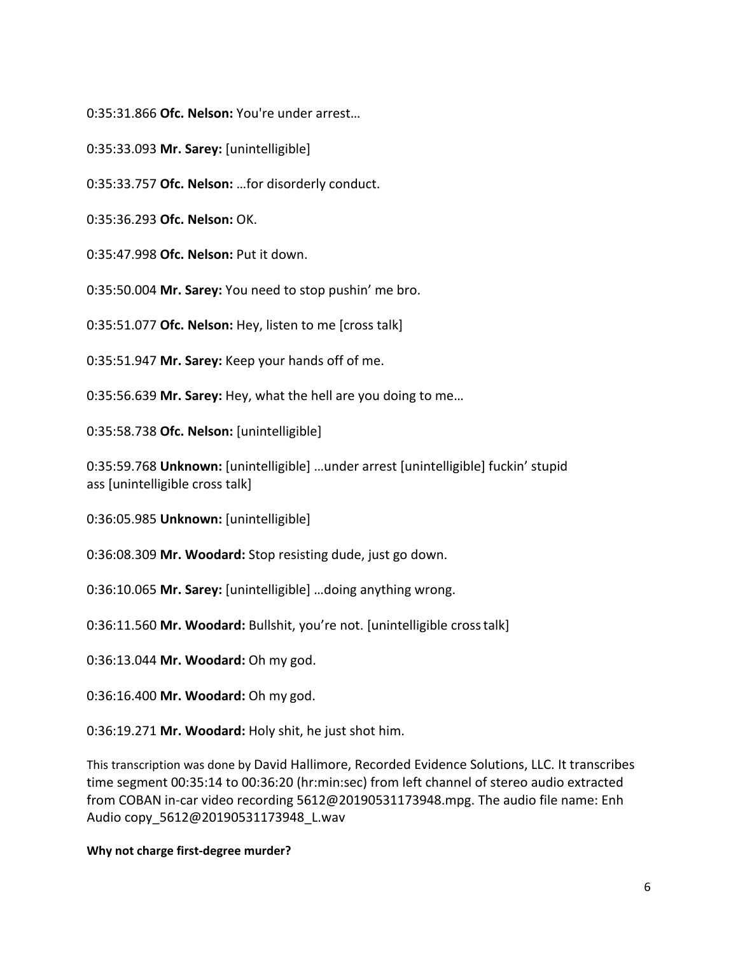0:35:31.866 **Ofc. Nelson:** You're under arrest…

0:35:33.093 **Mr. Sarey:** [unintelligible]

0:35:33.757 **Ofc. Nelson:** …for disorderly conduct.

0:35:36.293 **Ofc. Nelson:** OK.

0:35:47.998 **Ofc. Nelson:** Put it down.

0:35:50.004 **Mr. Sarey:** You need to stop pushin' me bro.

0:35:51.077 **Ofc. Nelson:** Hey, listen to me [cross talk]

0:35:51.947 **Mr. Sarey:** Keep your hands off of me.

0:35:56.639 **Mr. Sarey:** Hey, what the hell are you doing to me…

0:35:58.738 **Ofc. Nelson:** [unintelligible]

0:35:59.768 **Unknown:** [unintelligible] …under arrest [unintelligible] fuckin' stupid ass [unintelligible cross talk]

0:36:05.985 **Unknown:** [unintelligible]

0:36:08.309 **Mr. Woodard:** Stop resisting dude, just go down.

0:36:10.065 **Mr. Sarey:** [unintelligible] …doing anything wrong.

0:36:11.560 **Mr. Woodard:** Bullshit, you're not. [unintelligible crosstalk]

0:36:13.044 **Mr. Woodard:** Oh my god.

0:36:16.400 **Mr. Woodard:** Oh my god.

0:36:19.271 **Mr. Woodard:** Holy shit, he just shot him.

This transcription was done by David Hallimore, Recorded Evidence Solutions, LLC. It transcribes time segment 00:35:14 to 00:36:20 (hr:min:sec) from left channel of stereo audio extracted from COBAN in-car video recording [5612@20190531173948.mpg. T](mailto:5612@20190531173948.mpg)he audio file name: Enh Audio copy\_5612@20190531173948\_L.wav

## **Why not charge first-degree murder?**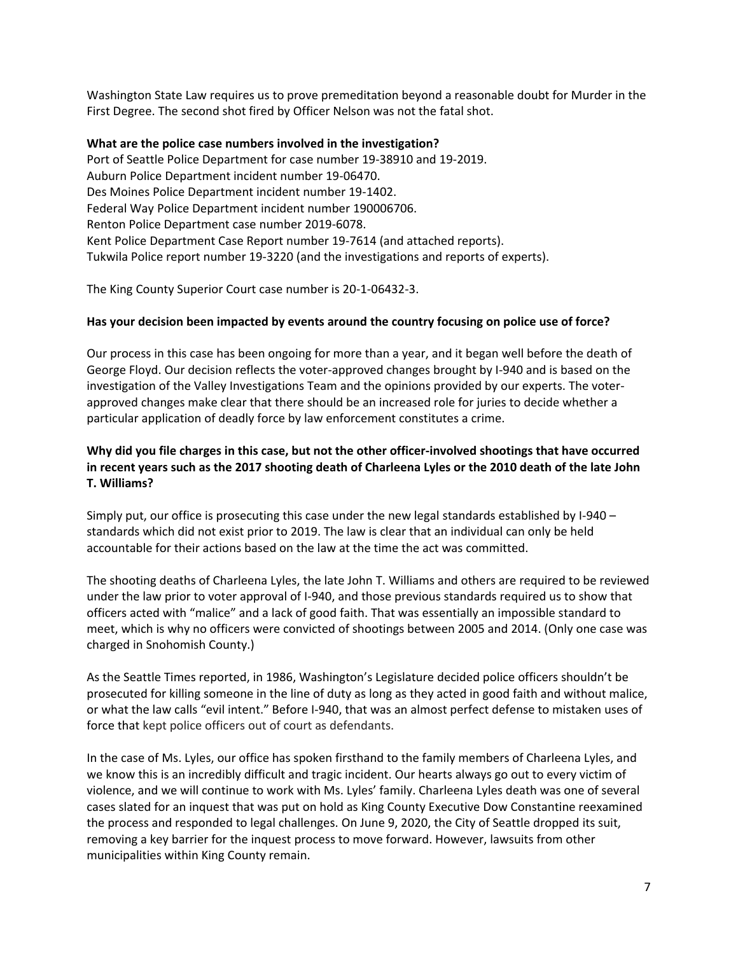Washington State Law requires us to prove premeditation beyond a reasonable doubt for Murder in the First Degree. The second shot fired by Officer Nelson was not the fatal shot.

## **What are the police case numbers involved in the investigation?**

Port of Seattle Police Department for case number 19-38910 and 19-2019. Auburn Police Department incident number 19-06470. Des Moines Police Department incident number 19-1402. Federal Way Police Department incident number 190006706. Renton Police Department case number 2019-6078. Kent Police Department Case Report number 19-7614 (and attached reports). Tukwila Police report number 19-3220 (and the investigations and reports of experts).

The King County Superior Court case number is 20-1-06432-3.

#### **Has your decision been impacted by events around the country focusing on police use of force?**

Our process in this case has been ongoing for more than a year, and it began well before the death of George Floyd. Our decision reflects the voter-approved changes brought by I-940 and is based on the investigation of the Valley Investigations Team and the opinions provided by our experts. The voterapproved changes make clear that there should be an increased role for juries to decide whether a particular application of deadly force by law enforcement constitutes a crime.

# **Why did you file charges in this case, but not the other officer-involved shootings that have occurred in recent years such as the 2017 shooting death of Charleena Lyles or the 2010 death of the late John T. Williams?**

Simply put, our office is prosecuting this case under the new legal standards established by I-940 – standards which did not exist prior to 2019. The law is clear that an individual can only be held accountable for their actions based on the law at the time the act was committed.

The shooting deaths of Charleena Lyles, the late John T. Williams and others are required to be reviewed under the law prior to voter approval of I-940, and those previous standards required us to show that officers acted with "malice" and a lack of good faith. That was essentially an impossible standard to meet, which is why no officers were convicted of shootings between 2005 and 2014. (Only one case was charged in Snohomish County.)

As the Seattle Times reported, in 1986, Washington's Legislature decided police officers shouldn't be prosecuted for killing someone in the line of duty as long as they acted in good faith and without malice, or what the law calls "evil intent." Before I-940, that was an almost perfect defense to mistaken uses of force that kept police officers out of court as defendants.

In the case of Ms. Lyles, our office has spoken firsthand to the family members of Charleena Lyles, and we know this is an incredibly difficult and tragic incident. Our hearts always go out to every victim of violence, and we will continue to work with Ms. Lyles' family. Charleena Lyles death was one of several cases slated for an inquest that was put on hold as King County Executive Dow Constantine reexamined the process and responded to legal challenges. On June 9, 2020, the City of Seattle dropped its suit, removing a key barrier for the inquest process to move forward. However, lawsuits from other municipalities within King County remain.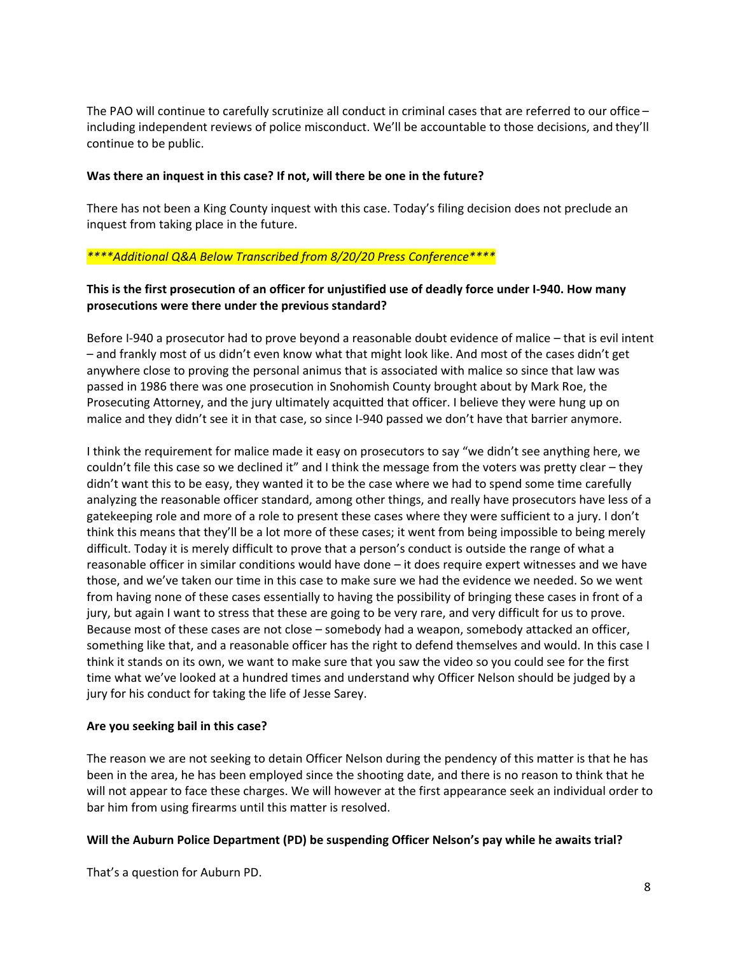The PAO will continue to carefully scrutinize all conduct in criminal cases that are referred to our office – including independent reviews of police misconduct. We'll be accountable to those decisions, and they'll continue to be public.

## **Was there an inquest in this case? If not, will there be one in the future?**

There has not been a King County inquest with this case. Today's filing decision does not preclude an inquest from taking place in the future.

# *\*\*\*\*Additional Q&A Below Transcribed from 8/20/20 Press Conference\*\*\*\**

# **This is the first prosecution of an officer for unjustified use of deadly force under I-940. How many prosecutions were there under the previous standard?**

Before I-940 a prosecutor had to prove beyond a reasonable doubt evidence of malice – that is evil intent – and frankly most of us didn't even know what that might look like. And most of the cases didn't get anywhere close to proving the personal animus that is associated with malice so since that law was passed in 1986 there was one prosecution in Snohomish County brought about by Mark Roe, the Prosecuting Attorney, and the jury ultimately acquitted that officer. I believe they were hung up on malice and they didn't see it in that case, so since I-940 passed we don't have that barrier anymore.

I think the requirement for malice made it easy on prosecutors to say "we didn't see anything here, we couldn't file this case so we declined it" and I think the message from the voters was pretty clear – they didn't want this to be easy, they wanted it to be the case where we had to spend some time carefully analyzing the reasonable officer standard, among other things, and really have prosecutors have less of a gatekeeping role and more of a role to present these cases where they were sufficient to a jury. I don't think this means that they'll be a lot more of these cases; it went from being impossible to being merely difficult. Today it is merely difficult to prove that a person's conduct is outside the range of what a reasonable officer in similar conditions would have done – it does require expert witnesses and we have those, and we've taken our time in this case to make sure we had the evidence we needed. So we went from having none of these cases essentially to having the possibility of bringing these cases in front of a jury, but again I want to stress that these are going to be very rare, and very difficult for us to prove. Because most of these cases are not close – somebody had a weapon, somebody attacked an officer, something like that, and a reasonable officer has the right to defend themselves and would. In this case I think it stands on its own, we want to make sure that you saw the video so you could see for the first time what we've looked at a hundred times and understand why Officer Nelson should be judged by a jury for his conduct for taking the life of Jesse Sarey.

## **Are you seeking bail in this case?**

The reason we are not seeking to detain Officer Nelson during the pendency of this matter is that he has been in the area, he has been employed since the shooting date, and there is no reason to think that he will not appear to face these charges. We will however at the first appearance seek an individual order to bar him from using firearms until this matter is resolved.

## **Will the Auburn Police Department (PD) be suspending Officer Nelson's pay while he awaits trial?**

That's a question for Auburn PD.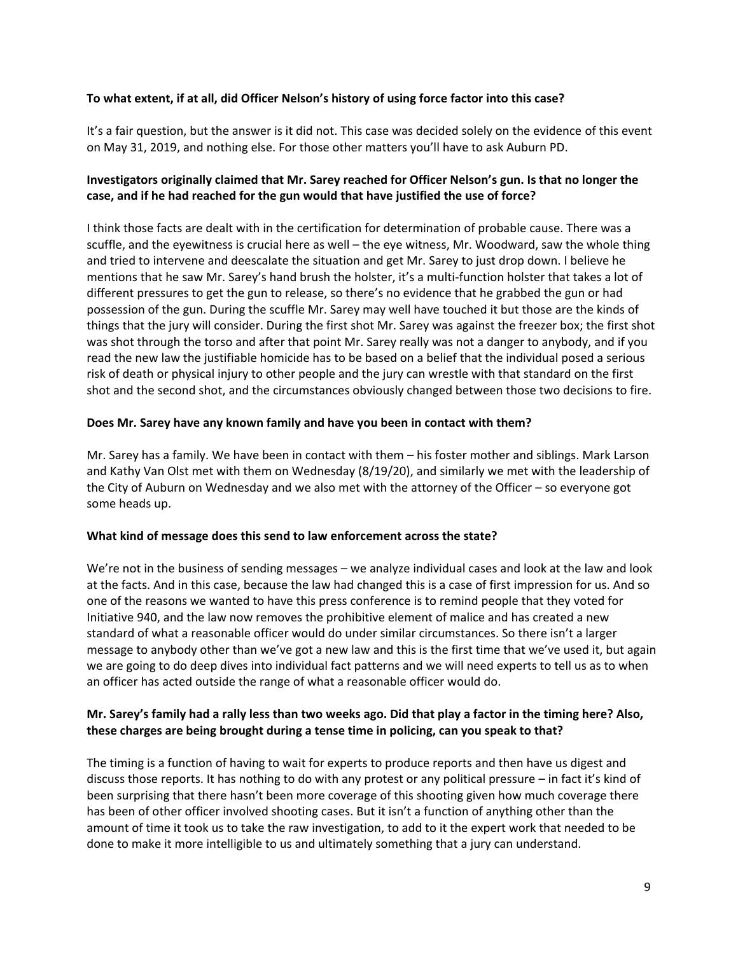# **To what extent, if at all, did Officer Nelson's history of using force factor into this case?**

It's a fair question, but the answer is it did not. This case was decided solely on the evidence of this event on May 31, 2019, and nothing else. For those other matters you'll have to ask Auburn PD.

# **Investigators originally claimed that Mr. Sarey reached for Officer Nelson's gun. Is that no longer the case, and if he had reached for the gun would that have justified the use of force?**

I think those facts are dealt with in the certification for determination of probable cause. There was a scuffle, and the eyewitness is crucial here as well – the eye witness, Mr. Woodward, saw the whole thing and tried to intervene and deescalate the situation and get Mr. Sarey to just drop down. I believe he mentions that he saw Mr. Sarey's hand brush the holster, it's a multi-function holster that takes a lot of different pressures to get the gun to release, so there's no evidence that he grabbed the gun or had possession of the gun. During the scuffle Mr. Sarey may well have touched it but those are the kinds of things that the jury will consider. During the first shot Mr. Sarey was against the freezer box; the first shot was shot through the torso and after that point Mr. Sarey really was not a danger to anybody, and if you read the new law the justifiable homicide has to be based on a belief that the individual posed a serious risk of death or physical injury to other people and the jury can wrestle with that standard on the first shot and the second shot, and the circumstances obviously changed between those two decisions to fire.

## **Does Mr. Sarey have any known family and have you been in contact with them?**

Mr. Sarey has a family. We have been in contact with them – his foster mother and siblings. Mark Larson and Kathy Van Olst met with them on Wednesday (8/19/20), and similarly we met with the leadership of the City of Auburn on Wednesday and we also met with the attorney of the Officer – so everyone got some heads up.

## **What kind of message does this send to law enforcement across the state?**

We're not in the business of sending messages – we analyze individual cases and look at the law and look at the facts. And in this case, because the law had changed this is a case of first impression for us. And so one of the reasons we wanted to have this press conference is to remind people that they voted for Initiative 940, and the law now removes the prohibitive element of malice and has created a new standard of what a reasonable officer would do under similar circumstances. So there isn't a larger message to anybody other than we've got a new law and this is the first time that we've used it, but again we are going to do deep dives into individual fact patterns and we will need experts to tell us as to when an officer has acted outside the range of what a reasonable officer would do.

# **Mr. Sarey's family had a rally less than two weeks ago. Did that play a factor in the timing here? Also, these charges are being brought during a tense time in policing, can you speak to that?**

The timing is a function of having to wait for experts to produce reports and then have us digest and discuss those reports. It has nothing to do with any protest or any political pressure – in fact it's kind of been surprising that there hasn't been more coverage of this shooting given how much coverage there has been of other officer involved shooting cases. But it isn't a function of anything other than the amount of time it took us to take the raw investigation, to add to it the expert work that needed to be done to make it more intelligible to us and ultimately something that a jury can understand.